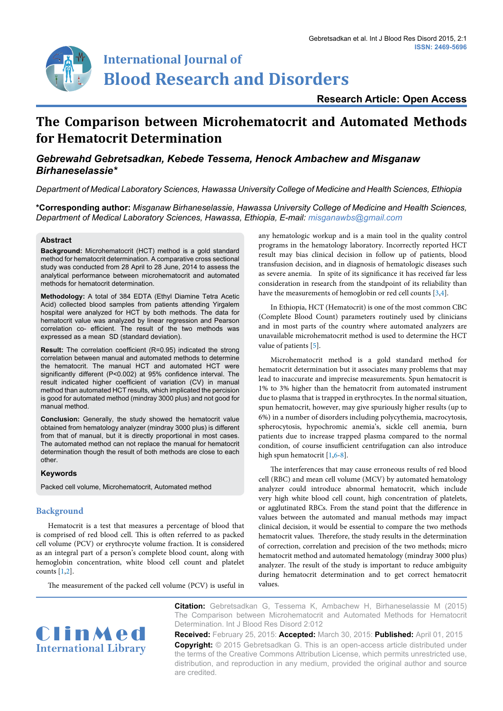

# **International Journal of Blood Research and Disorders**

## **Research Article: Open Access**

## **The Comparison between Microhematocrit and Automated Methods for Hematocrit Determination**

## *Gebrewahd Gebretsadkan, Kebede Tessema, Henock Ambachew and Misganaw Birhaneselassie\**

*Department of Medical Laboratory Sciences, Hawassa University College of Medicine and Health Sciences, Ethiopia*

**\*Corresponding author:** *Misganaw Birhaneselassie, Hawassa University College of Medicine and Health Sciences, Department of Medical Laboratory Sciences, Hawassa, Ethiopia, E-mail: misganawbs@gmail.com*

#### **Abstract**

**Background:** Microhematocrit (HCT) method is a gold standard method for hematocrit determination. A comparative cross sectional study was conducted from 28 April to 28 June, 2014 to assess the analytical performance between microhematocrit and automated methods for hematocrit determination.

**Methodology:** A total of 384 EDTA (Ethyl Diamine Tetra Acetic Acid) collected blood samples from patients attending Yirgalem hospital were analyzed for HCT by both methods. The data for hematocrit value was analyzed by linear regression and Pearson correlation co- efficient. The result of the two methods was expressed as a mean SD (standard deviation).

**Result:** The correlation coefficient (R=0.95) indicated the strong correlation between manual and automated methods to determine the hematocrit. The manual HCT and automated HCT were significantly different (P<0.002) at 95% confidence interval. The result indicated higher coefficient of variation (CV) in manual method than automated HCT results, which implicated the percision is good for automated method (mindray 3000 plus) and not good for manual method.

**Conclusion:** Generally, the study showed the hematocrit value obtained from hematology analyzer (mindray 3000 plus) is different from that of manual, but it is directly proportional in most cases. The automated method can not replace the manual for hematocrit determination though the result of both methods are close to each other.

#### **Keywords**

Packed cell volume, Microhematocrit, Automated method

## **Background**

Hematocrit is a test that measures a percentage of blood that is comprised of red blood cell. This is often referred to as packed cell volume (PCV) or erythrocyte volume fraction. It is considered as an integral part of a person's complete blood count, along with hemoglobin concentration, white blood cell count and platelet counts [[1](#page-2-3)[,2\]](#page-2-6).

The measurement of the packed cell volume (PCV) is useful in

any hematologic workup and is a main tool in the quality control programs in the hematology laboratory. Incorrectly reported HCT result may bias clinical decision in follow up of patients, blood transfusion decision, and in diagnosis of hematologic diseases such as severe anemia. In spite of its significance it has received far less consideration in research from the standpoint of its reliability than have the measurements of hemoglobin or red cell counts [\[3,](#page-2-0)[4](#page-2-1)].

In Ethiopia, HCT (Hematocrit) is one of the most common CBC (Complete Blood Count) parameters routinely used by clinicians and in most parts of the country where automated analyzers are unavailable microhematocrit method is used to determine the HCT value of patients [\[5\]](#page-2-2).

Microhematocrit method is a gold standard method for hematocrit determination but it associates many problems that may lead to inaccurate and imprecise measurements. Spun hematocrit is 1% to 3% higher than the hematocrit from automated instrument due to plasma that is trapped in erythrocytes. In the normal situation, spun hematocrit, however, may give spuriously higher results (up to 6%) in a number of disorders including polycythemia, macrocytosis, spherocytosis, hypochromic anemia's, sickle cell anemia, burn patients due to increase trapped plasma compared to the normal condition, of course insufficient centrifugation can also introduce high spun hematocrit [[1](#page-2-3)[,6-](#page-2-4)[8](#page-2-5)].

The interferences that may cause erroneous results of red blood cell (RBC) and mean cell volume (MCV) by automated hematology analyzer could introduce abnormal hematocrit, which include very high white blood cell count, high concentration of platelets, or agglutinated RBCs. From the stand point that the difference in values between the automated and manual methods may impact clinical decision, it would be essential to compare the two methods hematocrit values. Therefore, the study results in the determination of correction, correlation and precision of the two methods; micro hematocrit method and automated hematology (mindray 3000 plus) analyzer. The result of the study is important to reduce ambiguity during hematocrit determination and to get correct hematocrit values.

ClinMed **International Library** **Citation:** Gebretsadkan G, Tessema K, Ambachew H, Birhaneselassie M (2015) The Comparison between Microhematocrit and Automated Methods for Hematocrit Determination. Int J Blood Res Disord 2:012

**Received:** February 25, 2015: **Accepted:** March 30, 2015: **Published:** April 01, 2015 **Copyright:** © 2015 Gebretsadkan G. This is an open-access article distributed under the terms of the Creative Commons Attribution License, which permits unrestricted use, distribution, and reproduction in any medium, provided the original author and source are credited.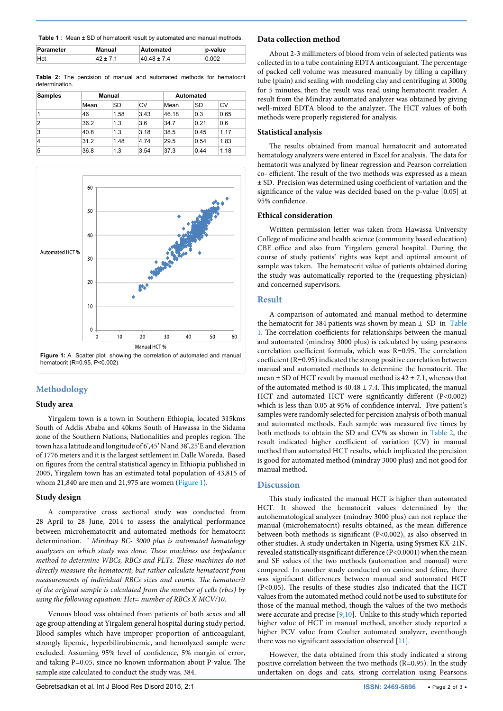**Table 1** : Mean  $\pm$  SD of hematocrit result by automated and manual methods.

| Parameter  | Manual | Automated   | p-value |
|------------|--------|-------------|---------|
| <b>Hct</b> |        | 40 48 + 7 4 | 0.002   |

**Table 2:** The percision of manual and automated methods for hematocrit determination.

| <b>Samples</b> | <b>Manual</b> |           |      |       | <b>Automated</b> |      |  |
|----------------|---------------|-----------|------|-------|------------------|------|--|
|                | Mean          | <b>SD</b> | CV   | Mean  | SD               | CV   |  |
|                | 46            | 1.58      | 3.43 | 46.18 | 0.3              | 0.65 |  |
| $\overline{2}$ | 36.2          | 1.3       | 3.6  | 34.7  | 0.21             | 0.6  |  |
| 3              | 40.8          | 1.3       | 3.18 | 38.5  | 0.45             | 1.17 |  |
| 4              | 31.2          | 1.48      | 4.74 | 29.5  | 0.54             | 1.83 |  |
| 5              | 36.8          | 1.3       | 3.54 | 37.3  | 0.44             | 1.18 |  |



## **Methodology**

#### **Study area**

Yirgalem town is a town in Southern Ethiopia, located 315kms South of Addis Ababa and 40kms South of Hawassa in the Sidama zone of the Southern Nations, Nationalities and peoples region. The town has a latitude and longitude of 6º ,45' N and 38º ,25'E and elevation of 1776 meters and it is the largest settlement in Dalle Woreda. Based on figures from the central statistical agency in Ethiopia published in 2005, Yirgalem town has an estimated total population of 43,815 of whom 21,840 are men and 21,975 are women (Figure 1).

#### **Study design**

A comparative cross sectional study was conducted from 28 April to 28 June, 2014 to assess the analytical performance between microhematocrit and automated methods for hematocrit determination. *\* Mindray BC- 3000 plus is automated hematology analyzers on which study was done. These machines use impedance method to determine WBCs, RBCs and PLTs. These machines do not directly measure the hematocrit, but rather calculate hematocrit from measurements of individual RBCs sizes and counts. The hematocrit of the original sample is calculated from the number of cells (rbcs) by using the following equation: Hct= number of RBCs X MCV/10.*

Venous blood was obtained from patients of both sexes and all age group attending at Yirgalem general hospital during study period. Blood samples which have improper proportion of anticoagulant, strongly lipemic, hyperbilirubinemic, and hemolyzed sample were excluded. Assuming 95% level of confidence, 5% margin of error, and taking P=0.05, since no known information about P-value. The sample size calculated to conduct the study was, 384.

#### **Data collection method**

About 2-3 millimeters of blood from vein of selected patients was collected in to a tube containing EDTA anticoagulant. The percentage of packed cell volume was measured manually by filling a capillary tube (plain) and sealing with modeling clay and centrifuging at 3000g for 5 minutes, then the result was read using hematocrit reader. A result from the Mindray automated analyzer was obtained by giving well-mixed EDTA blood to the analyzer. The HCT values of both methods were properly registered for analysis.

#### **Statistical analysis**

The results obtained from manual hematocrit and automated hematology analyzers were entered in Excel for analysis. The data for hematorit was analyzed by linear regression and Pearson correlation co- efficient. The result of the two methods was expressed as a mean ± SD. Precision was determined using coefficient of variation and the significance of the value was decided based on the p-value [0.05] at 95% confidence.

#### **Ethical consideration**

Written permission letter was taken from Hawassa University College of medicine and health science (community based education) CBE office and also from Yirgalem general hospital. During the course of study patients' rights was kept and optimal amount of sample was taken. The hematocrit value of patients obtained during the study was automatically reported to the (requesting physician) and concerned supervisors.

#### **Result**

A comparison of automated and manual method to determine the hematocrit for 384 patients was shown by mean  $\pm$  SD in Table 1. The correlation coefficients for relationships between the manual and automated (mindray 3000 plus) is calculated by using pearsons correlation coefficient formula, which was R=0.95. The correlation coefficient (R=0.95) indicated the strong positive correlation between manual and automated methods to determine the hematocrit. The mean  $\pm$  SD of HCT result by manual method is 42  $\pm$  7.1, whereas that of the automated method is  $40.48 \pm 7.4$ . This implicated, the manual HCT and automated HCT were significantly different (P<0.002) which is less than 0.05 at 95% of confidence interval. Five patient's samples were randomly selected for percision analysis of both manual and automated methods. Each sample was measured five times by both methods to obtain the SD and CV% as shown in Table 2, the result indicated higher coefficient of variation (CV) in manual method than automated HCT results, which implicated the percision is good for automated method (mindray 3000 plus) and not good for manual method.

#### **Discussion**

This study indicated the manual HCT is higher than automated HCT. It showed the hematocrit values determined by the autohematological analyzer (mindray 3000 plus) can not replace the manual (microhematocrit) results obtained, as the mean difference between both methods is significant (P<0.002), as also observed in other studies. A study undertaken in Nigeria, using Sysmex KX-21N, revealed statistically sisgnificant difference (P<0.0001) when the mean and SE values of the two methods (automation and manual) were compared. In another study conducted on canine and feline, there was significant differences between manual and automated HCT (P<0.05). The results of these studies also indicated that the HCT values from the automated method could not be used to substitute for those of the manual method, though the values of the two methods were accurate and precise [[9](#page-2-7)[,10\]](#page-2-8). Unlike to this study which reported higher value of HCT in manual method, another study reported a higher PCV value from Coulter automated analyzer, eventhough there was no significant association observed [\[11](#page-2-9)].

However, the data obtained from this study indicated a strong positive correlation between the two methods (R=0.95). In the study undertaken on dogs and cats, strong correlation using Pearsons